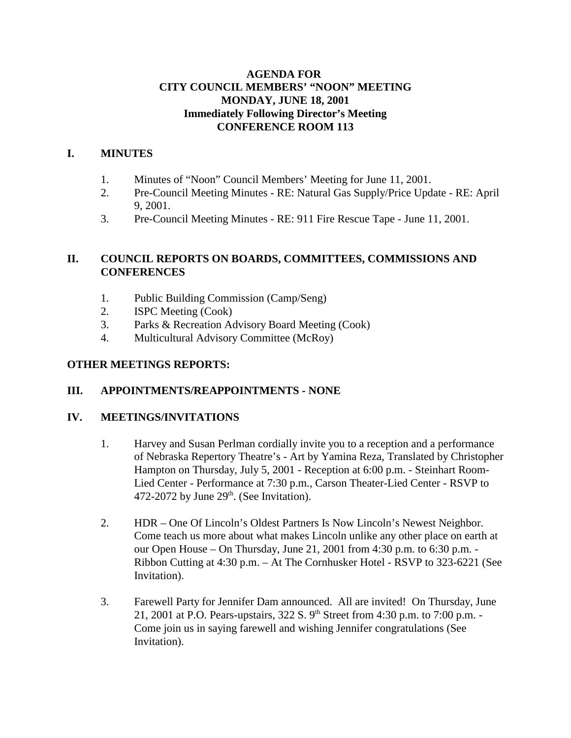### **AGENDA FOR CITY COUNCIL MEMBERS' "NOON" MEETING MONDAY, JUNE 18, 2001 Immediately Following Director's Meeting CONFERENCE ROOM 113**

## **I. MINUTES**

- 1. Minutes of "Noon" Council Members' Meeting for June 11, 2001.
- 2. Pre-Council Meeting Minutes RE: Natural Gas Supply/Price Update RE: April 9, 2001.
- 3. Pre-Council Meeting Minutes RE: 911 Fire Rescue Tape June 11, 2001.

## **II. COUNCIL REPORTS ON BOARDS, COMMITTEES, COMMISSIONS AND CONFERENCES**

- 1. Public Building Commission (Camp/Seng)
- 2. ISPC Meeting (Cook)
- 3. Parks & Recreation Advisory Board Meeting (Cook)
- 4. Multicultural Advisory Committee (McRoy)

### **OTHER MEETINGS REPORTS:**

### **III. APPOINTMENTS/REAPPOINTMENTS - NONE**

#### **IV. MEETINGS/INVITATIONS**

- 1. Harvey and Susan Perlman cordially invite you to a reception and a performance of Nebraska Repertory Theatre's - Art by Yamina Reza, Translated by Christopher Hampton on Thursday, July 5, 2001 - Reception at 6:00 p.m. - Steinhart Room-Lied Center - Performance at 7:30 p.m., Carson Theater-Lied Center - RSVP to 472-2072 by June  $29<sup>th</sup>$ . (See Invitation).
- 2. HDR One Of Lincoln's Oldest Partners Is Now Lincoln's Newest Neighbor. Come teach us more about what makes Lincoln unlike any other place on earth at our Open House – On Thursday, June 21, 2001 from 4:30 p.m. to 6:30 p.m. - Ribbon Cutting at 4:30 p.m. – At The Cornhusker Hotel - RSVP to 323-6221 (See Invitation).
- 3. Farewell Party for Jennifer Dam announced. All are invited! On Thursday, June 21, 2001 at P.O. Pears-upstairs,  $322 S. 9<sup>th</sup> Street from 4:30 p.m. to 7:00 p.m. -$ Come join us in saying farewell and wishing Jennifer congratulations (See Invitation).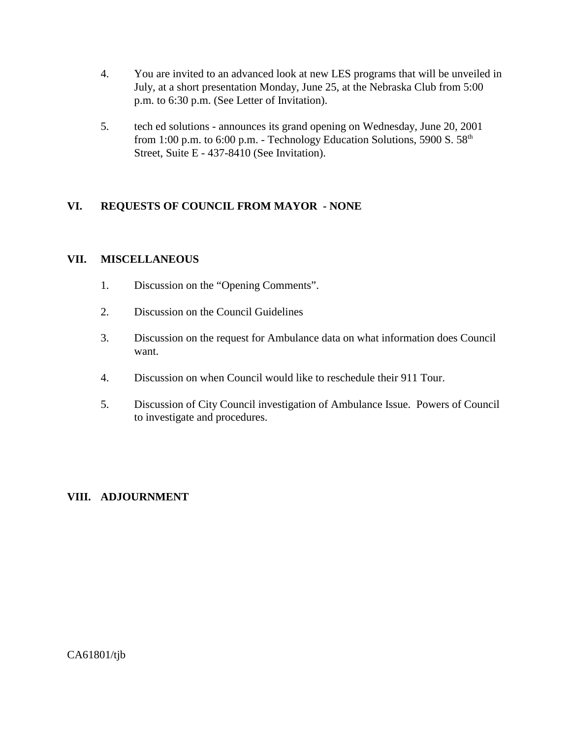- 4. You are invited to an advanced look at new LES programs that will be unveiled in July, at a short presentation Monday, June 25, at the Nebraska Club from 5:00 p.m. to 6:30 p.m. (See Letter of Invitation).
- 5. tech ed solutions announces its grand opening on Wednesday, June 20, 2001 from 1:00 p.m. to 6:00 p.m. - Technology Education Solutions, 5900 S.  $58<sup>th</sup>$ Street, Suite E - 437-8410 (See Invitation).

# **VI. REQUESTS OF COUNCIL FROM MAYOR - NONE**

### **VII. MISCELLANEOUS**

- 1. Discussion on the "Opening Comments".
- 2. Discussion on the Council Guidelines
- 3. Discussion on the request for Ambulance data on what information does Council want.
- 4. Discussion on when Council would like to reschedule their 911 Tour.
- 5. Discussion of City Council investigation of Ambulance Issue. Powers of Council to investigate and procedures.

### **VIII. ADJOURNMENT**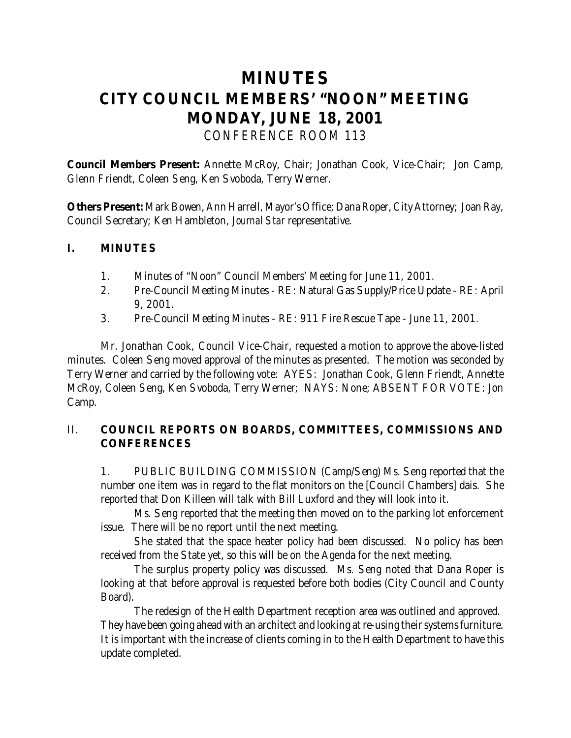# **MINUTES CITY COUNCIL MEMBERS' "NOON" MEETING MONDAY, JUNE 18, 2001** *CONFERENCE ROOM 113*

**Council Members Present:** Annette McRoy, Chair; Jonathan Cook, Vice-Chair; Jon Camp, Glenn Friendt, Coleen Seng, Ken Svoboda, Terry Werner.

**Others Present:** Mark Bowen, Ann Harrell, Mayor's Office; Dana Roper, City Attorney; Joan Ray, Council Secretary; Ken Hambleton, *Journal Star* representative.

## **I. MINUTES**

- 1. Minutes of "Noon" Council Members' Meeting for June 11, 2001.
- 2. Pre-Council Meeting Minutes RE: Natural Gas Supply/Price Update RE: April 9, 2001.
- 3. Pre-Council Meeting Minutes RE: 911 Fire Rescue Tape June 11, 2001.

Mr. Jonathan Cook, Council Vice-Chair, requested a motion to approve the above-listed minutes. Coleen Seng moved approval of the minutes as presented. The motion was seconded by Terry Werner and carried by the following vote: AYES: Jonathan Cook, Glenn Friendt, Annette McRoy, Coleen Seng, Ken Svoboda, Terry Werner; NAYS: None; ABSENT FOR VOTE: Jon Camp.

# II. **COUNCIL REPORTS ON BOARDS, COMMITTEES, COMMISSIONS AND CONFERENCES**

1. PUBLIC BUILDING COMMISSION (Camp/Seng) Ms. Seng reported that the number one item was in regard to the flat monitors on the [Council Chambers] dais. She reported that Don Killeen will talk with Bill Luxford and they will look into it.

Ms. Seng reported that the meeting then moved on to the parking lot enforcement issue. There will be no report until the next meeting.

She stated that the space heater policy had been discussed. No policy has been received from the State yet, so this will be on the Agenda for the next meeting.

The surplus property policy was discussed. Ms. Seng noted that Dana Roper is looking at that before approval is requested before both bodies (City Council and County Board).

The redesign of the Health Department reception area was outlined and approved. They have been going ahead with an architect and looking at re-using their systems furniture. It is important with the increase of clients coming in to the Health Department to have this update completed.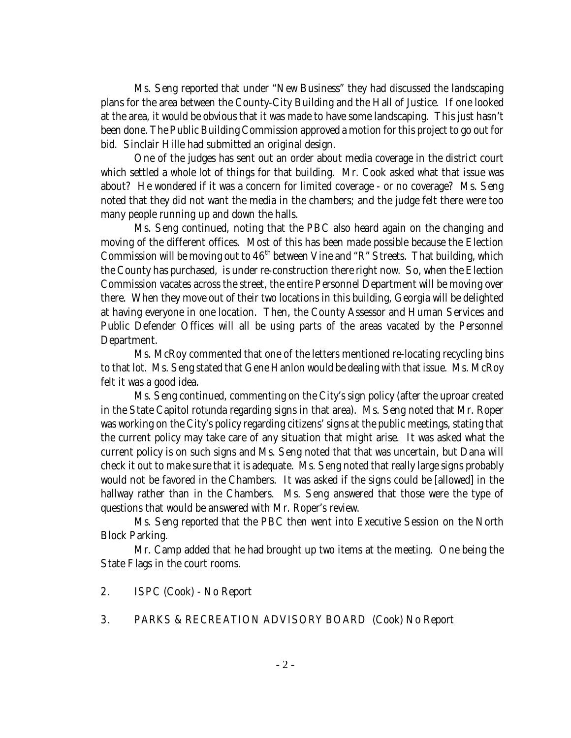Ms. Seng reported that under "New Business" they had discussed the landscaping plans for the area between the County-City Building and the Hall of Justice. If one looked at the area, it would be obvious that it was made to have some landscaping. This just hasn't been done. The Public Building Commission approved a motion for this project to go out for bid. Sinclair Hille had submitted an original design.

One of the judges has sent out an order about media coverage in the district court which settled a whole lot of things for that building. Mr. Cook asked what that issue was about? He wondered if it was a concern for limited coverage - or no coverage? Ms. Seng noted that they did not want the media in the chambers; and the judge felt there were too many people running up and down the halls.

Ms. Seng continued, noting that the PBC also heard again on the changing and moving of the different offices. Most of this has been made possible because the Election Commission will be moving out to  $46<sup>th</sup>$  between Vine and "R" Streets. That building, which the County has purchased, is under re-construction there right now. So, when the Election Commission vacates across the street, the entire Personnel Department will be moving over there. When they move out of their two locations in this building, Georgia will be delighted at having everyone in one location. Then, the County Assessor and Human Services and Public Defender Offices will all be using parts of the areas vacated by the Personnel Department.

Ms. McRoy commented that one of the letters mentioned re-locating recycling bins to that lot. Ms. Seng stated that Gene Hanlon would be dealing with that issue. Ms. McRoy felt it was a good idea.

Ms. Seng continued, commenting on the City's sign policy (after the uproar created in the State Capitol rotunda regarding signs in that area). Ms. Seng noted that Mr. Roper was working on the City's policy regarding citizens' signs at the public meetings, stating that the current policy may take care of any situation that might arise. It was asked what the current policy is on such signs and Ms. Seng noted that that was uncertain, but Dana will check it out to make sure that it is adequate. Ms. Seng noted that really large signs probably would not be favored in the Chambers. It was asked if the signs could be [allowed] in the hallway rather than in the Chambers. Ms. Seng answered that those were the type of questions that would be answered with Mr. Roper's review.

Ms. Seng reported that the PBC then went into Executive Session on the North Block Parking.

Mr. Camp added that he had brought up two items at the meeting. One being the State Flags in the court rooms.

- 2. ISPC (Cook) No Report
- 3. PARKS & RECREATION ADVISORY BOARD (Cook) No Report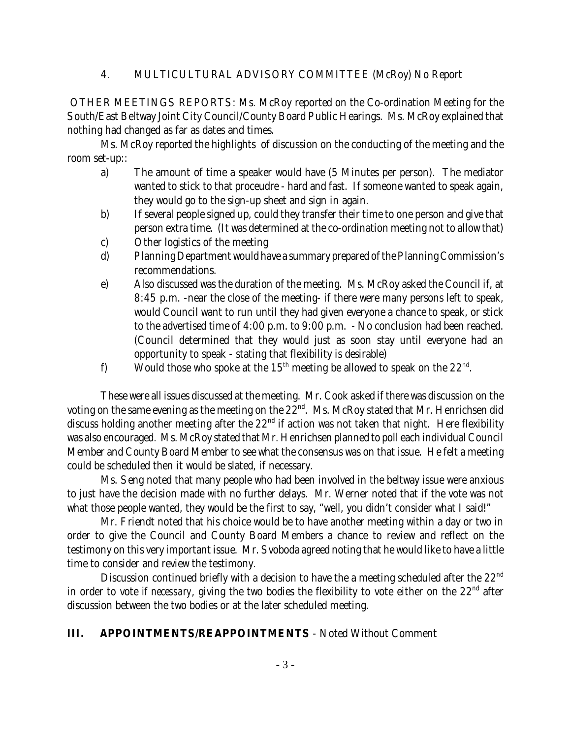### 4. MULTICULTURAL ADVISORY COMMITTEE (McRoy) No Report

 OTHER MEETINGS REPORTS: Ms. McRoy reported on the Co-ordination Meeting for the South/East Beltway Joint City Council/County Board Public Hearings. Ms. McRoy explained that nothing had changed as far as dates and times.

Ms. McRoy reported the highlights of discussion on the conducting of the meeting and the room set-up::

- a) The amount of time a speaker would have (5 Minutes per person). The mediator wanted to stick to that proceudre - hard and fast. If someone wanted to speak again, they would go to the sign-up sheet and sign in again.
- b) If several people signed up, could they transfer their time to one person and give that person extra time. (It was determined at the co-ordination meeting not to allow that)
- c) Other logistics of the meeting
- d) Planning Department would have a summary prepared of the Planning Commission's recommendations.
- e) Also discussed was the duration of the meeting. Ms. McRoy asked the Council if, at 8:45 p.m. -near the close of the meeting- if there were many persons left to speak, would Council want to run until they had given everyone a chance to speak, or stick to the advertised time of 4:00 p.m. to 9:00 p.m. - No conclusion had been reached. (Council determined that they would just as soon stay until everyone had an opportunity to speak - stating that flexibility is desirable)
- f) Would those who spoke at the 15<sup>th</sup> meeting be allowed to speak on the  $22<sup>nd</sup>$ .

These were all issues discussed at the meeting. Mr. Cook asked if there was discussion on the voting on the same evening as the meeting on the 22<sup>nd</sup>. Ms. McRoy stated that Mr. Henrichsen did discuss holding another meeting after the  $22<sup>nd</sup>$  if action was not taken that night. Here flexibility was also encouraged. Ms. McRoy stated that Mr. Henrichsen planned to poll each individual Council Member and County Board Member to see what the consensus was on that issue. He felt a meeting could be scheduled then it would be slated, if necessary.

Ms. Seng noted that many people who had been involved in the beltway issue were anxious to just have the decision made with no further delays. Mr. Werner noted that if the vote was not what those people wanted, they would be the first to say, "well, you didn't consider what I said!"

Mr. Friendt noted that his choice would be to have another meeting within a day or two in order to give the Council and County Board Members a chance to review and reflect on the testimony on this very important issue. Mr. Svoboda agreed noting that he would like to have a little time to consider and review the testimony.

Discussion continued briefly with a decision to have the a meeting scheduled after the  $22<sup>nd</sup>$ in order to vote *if necessary*, giving the two bodies the flexibility to vote either on the 22<sup>nd</sup> after discussion between the two bodies or at the later scheduled meeting.

### **III. APPOINTMENTS/REAPPOINTMENTS** - Noted Without Comment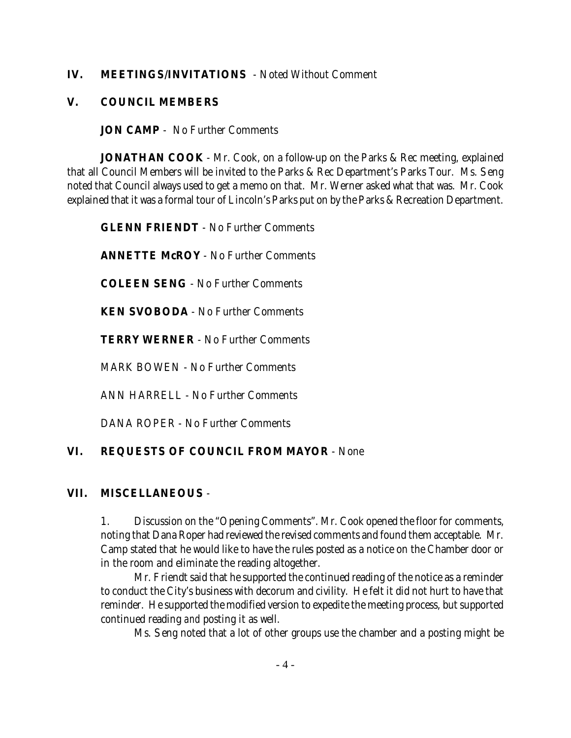### **IV. MEETINGS/INVITATIONS** - Noted Without Comment

### **V. COUNCIL MEMBERS**

**JON CAMP** - No Further Comments

**JONATHAN COOK** - Mr. Cook, on a follow-up on the Parks & Rec meeting, explained that all Council Members will be invited to the Parks & Rec Department's Parks Tour. Ms. Seng noted that Council always used to get a memo on that. Mr. Werner asked what that was. Mr. Cook explained that it was a formal tour of Lincoln's Parks put on by the Parks & Recreation Department.

**GLENN FRIENDT** - No Further Comments

**ANNETTE McROY** - No Further Comments

**COLEEN SENG** - No Further Comments

**KEN SVOBODA** - No Further Comments

**TERRY WERNER** - No Further Comments

MARK BOWEN - No Further Comments

ANN HARRELL - No Further Comments

DANA ROPER - No Further Comments

# **VI. REQUESTS OF COUNCIL FROM MAYOR** - None

### **VII. MISCELLANEOUS** -

1. Discussion on the "Opening Comments". Mr. Cook opened the floor for comments, noting that Dana Roper had reviewed the revised comments and found them acceptable. Mr. Camp stated that he would like to have the rules posted as a notice on the Chamber door or in the room and eliminate the reading altogether.

Mr. Friendt said that he supported the continued reading of the notice as a reminder to conduct the City's business with decorum and civility. He felt it did not hurt to have that reminder. He supported the modified version to expedite the meeting process, but supported continued reading *and* posting it as well.

Ms. Seng noted that a lot of other groups use the chamber and a posting might be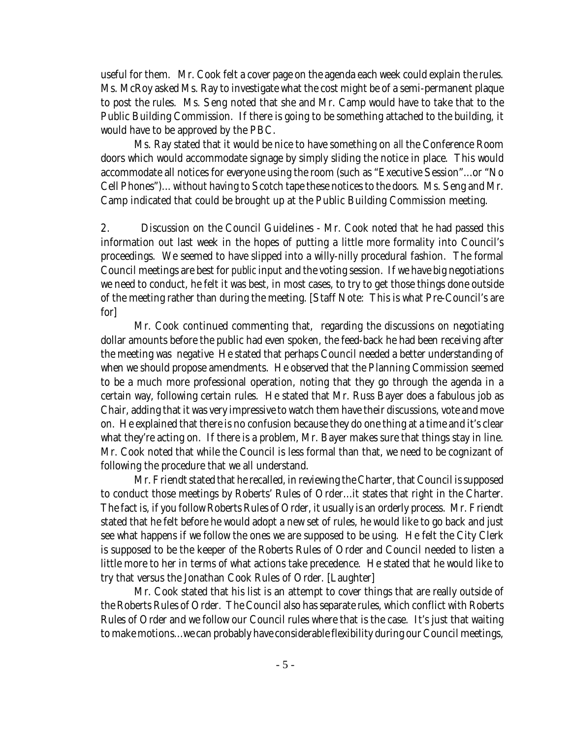useful for them. Mr. Cook felt a cover page on the agenda each week could explain the rules. Ms. McRoy asked Ms. Ray to investigate what the cost might be of a semi-permanent plaque to post the rules. Ms. Seng noted that she and Mr. Camp would have to take that to the Public Building Commission. If there is going to be something attached to the building, it would have to be approved by the PBC.

Ms. Ray stated that it would be nice to have something on *all* the Conference Room doors which would accommodate signage by simply sliding the notice in place. This would accommodate all notices for everyone using the room (such as "Executive Session"...or "No Cell Phones")... without having to Scotch tape these notices to the doors. Ms. Seng and Mr. Camp indicated that could be brought up at the Public Building Commission meeting.

2. Discussion on the Council Guidelines - Mr. Cook noted that he had passed this information out last week in the hopes of putting a little more formality into Council's proceedings. We seemed to have slipped into a willy-nilly procedural fashion. The formal Council meetings are best for *public* input and the voting session. If we have big negotiations we need to conduct, he felt it was best, in most cases, to try to get those things done outside of the meeting rather than during the meeting. [Staff Note: This is what Pre-Council's are for]

Mr. Cook continued commenting that, regarding the discussions on negotiating dollar amounts before the public had even spoken, the feed-back he had been receiving after the meeting was negative He stated that perhaps Council needed a better understanding of when we should propose amendments. He observed that the Planning Commission seemed to be a much more professional operation, noting that they go through the agenda in a certain way, following certain rules. He stated that Mr. Russ Bayer does a fabulous job as Chair, adding that it was very impressive to watch them have their discussions, vote and move on. He explained that there is no confusion because they do one thing at a time and it's clear what they're acting on. If there is a problem, Mr. Bayer makes sure that things stay in line. Mr. Cook noted that while the Council is less formal than that, we need to be cognizant of following the procedure that we all understand.

Mr. Friendt stated that he recalled, in reviewing the Charter, that Council is supposed to conduct those meetings by Roberts' Rules of Order...it states that right in the Charter. The fact is, if you follow Roberts Rules of Order, it usually is an orderly process. Mr. Friendt stated that he felt before he would adopt a new set of rules, he would like to go back and just see what happens if we follow the ones we are supposed to be using. He felt the City Clerk is supposed to be the keeper of the Roberts Rules of Order and Council needed to listen a little more to her in terms of what actions take precedence. He stated that he would like to try that versus the Jonathan Cook Rules of Order. [Laughter]

Mr. Cook stated that his list is an attempt to cover things that are really outside of the Roberts Rules of Order. The Council also has separate rules, which conflict with Roberts Rules of Order and we follow our Council rules where that is the case. It's just that waiting to make motions...we can probably have considerable flexibility during our Council meetings,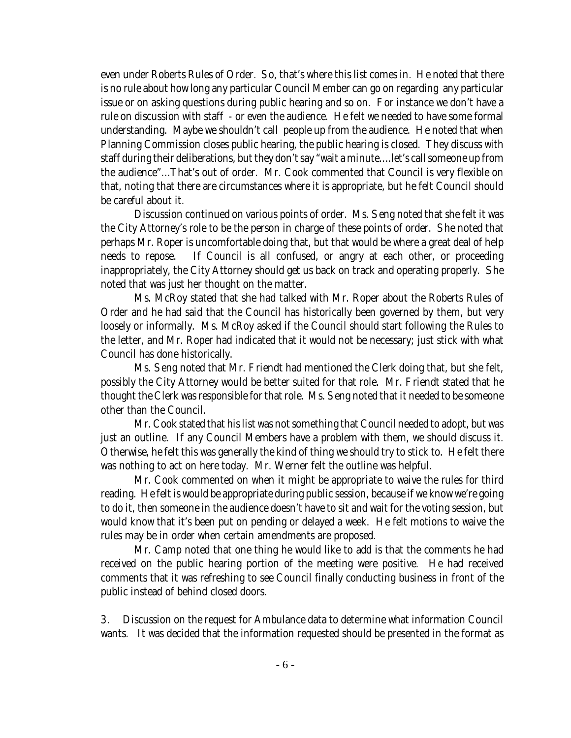even under Roberts Rules of Order. So, that's where this list comes in. He noted that there is no rule about how long any particular Council Member can go on regarding any particular issue or on asking questions during public hearing and so on. For instance we don't have a rule on discussion with staff - or even the audience. He felt we needed to have some formal understanding. Maybe we shouldn't call people up from the audience. He noted that when Planning Commission closes public hearing, the public hearing is closed. They discuss with staff during their deliberations, but they don't say "wait a minute....let's call someone up from the audience"...That's out of order. Mr. Cook commented that Council is very flexible on that, noting that there are circumstances where it is appropriate, but he felt Council should be careful about it.

Discussion continued on various points of order. Ms. Seng noted that she felt it was the City Attorney's role to be the person in charge of these points of order. She noted that perhaps Mr. Roper is uncomfortable doing that, but that would be where a great deal of help needs to repose. If Council is all confused, or angry at each other, or proceeding inappropriately, the City Attorney should get us back on track and operating properly. She noted that was just her thought on the matter.

Ms. McRoy stated that she had talked with Mr. Roper about the Roberts Rules of Order and he had said that the Council has historically been governed by them, but very loosely or informally. Ms. McRoy asked if the Council should start following the Rules to the letter, and Mr. Roper had indicated that it would not be necessary; just stick with what Council has done historically.

Ms. Seng noted that Mr. Friendt had mentioned the Clerk doing that, but she felt, possibly the City Attorney would be better suited for that role. Mr. Friendt stated that he thought the Clerk was responsible for that role. Ms. Seng noted that it needed to be someone other than the Council.

Mr. Cook stated that his list was not something that Council needed to adopt, but was just an outline. If any Council Members have a problem with them, we should discuss it. Otherwise, he felt this was generally the kind of thing we should try to stick to. He felt there was nothing to act on here today. Mr. Werner felt the outline was helpful.

Mr. Cook commented on when it might be appropriate to waive the rules for third reading. He felt is would be appropriate during public session, because if we know we're going to do it, then someone in the audience doesn't have to sit and wait for the voting session, but would know that it's been put on pending or delayed a week. He felt motions to waive the rules may be in order when certain amendments are proposed.

Mr. Camp noted that one thing he would like to add is that the comments he had received on the public hearing portion of the meeting were positive. He had received comments that it was refreshing to see Council finally conducting business in front of the public instead of behind closed doors.

3. Discussion on the request for Ambulance data to determine what information Council wants. It was decided that the information requested should be presented in the format as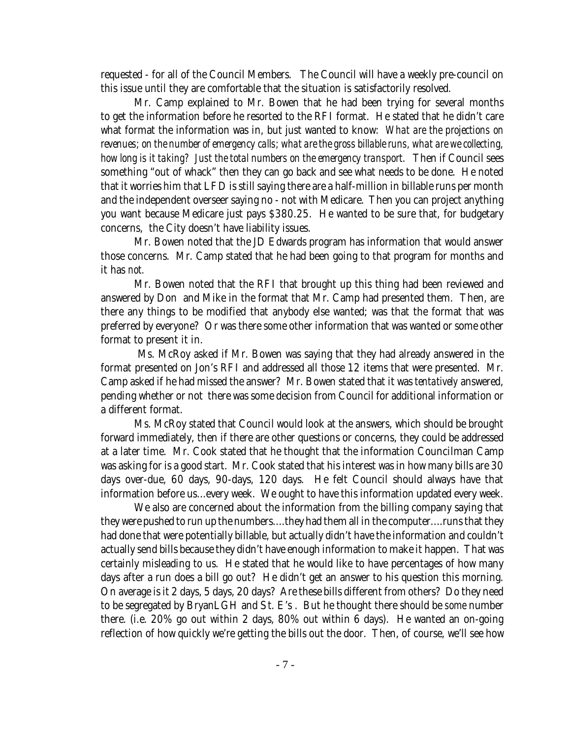requested - for all of the Council Members. The Council will have a weekly pre-council on this issue until they are comfortable that the situation is satisfactorily resolved.

Mr. Camp explained to Mr. Bowen that he had been trying for several months to get the information before he resorted to the RFI format. He stated that he didn't care what format the information was in, but just wanted to know: *What are the projections on revenues; on the number of emergency calls; what are the gross billable runs, what are we collecting, how long is it taking? Just the total numbers on the emergency transport*. Then if Council sees something "out of whack" then they can go back and see what needs to be done. He noted that it worries him that LFD is still saying there are a half-million in billable runs per month and the independent overseer saying no - not with Medicare. Then you can project anything you want because Medicare just pays \$380.25. He wanted to be sure that, for budgetary concerns, the City doesn't have liability issues.

Mr. Bowen noted that the JD Edwards program has information that would answer those concerns. Mr. Camp stated that he had been going to that program for months and it has *not.*

Mr. Bowen noted that the RFI that brought up this thing had been reviewed and answered by Don and Mike in the format that Mr. Camp had presented them. Then, are there any things to be modified that anybody else wanted; was that the format that was preferred by everyone? Or was there some other information that was wanted or some other format to present it in.

 Ms. McRoy asked if Mr. Bowen was saying that they had already answered in the format presented on Jon's RFI and addressed all those 12 items that were presented. Mr. Camp asked if he had missed the answer? Mr. Bowen stated that it was *tentatively* answered, pending whether or not there was some decision from Council for additional information or a different format.

Ms. McRoy stated that Council would look at the answers, which should be brought forward immediately, then if there are other questions or concerns, they could be addressed at a later time. Mr. Cook stated that he thought that the information Councilman Camp was asking for is a good start. Mr. Cook stated that his interest was in how many bills are 30 days over-due, 60 days, 90-days, 120 days. He felt Council should always have that information before us...every week. We ought to have this information updated every week.

We also are concerned about the information from the billing company saying that they were pushed to run up the numbers....they had them all in the computer....runs that they had done that were potentially billable, but actually didn't have the information and couldn't actually send bills because they didn't have enough information to make it happen. That was certainly misleading to us. He stated that he would like to have percentages of how many days after a run does a bill go out? He didn't get an answer to his question this morning. On average is it 2 days, 5 days, 20 days? Are these bills different from others? Do they need to be segregated by BryanLGH and St. E's . But he thought there should be *some* number there. (i.e. 20% go out within 2 days, 80% out within 6 days). He wanted an on-going reflection of how quickly we're getting the bills out the door. Then, of course, we'll see how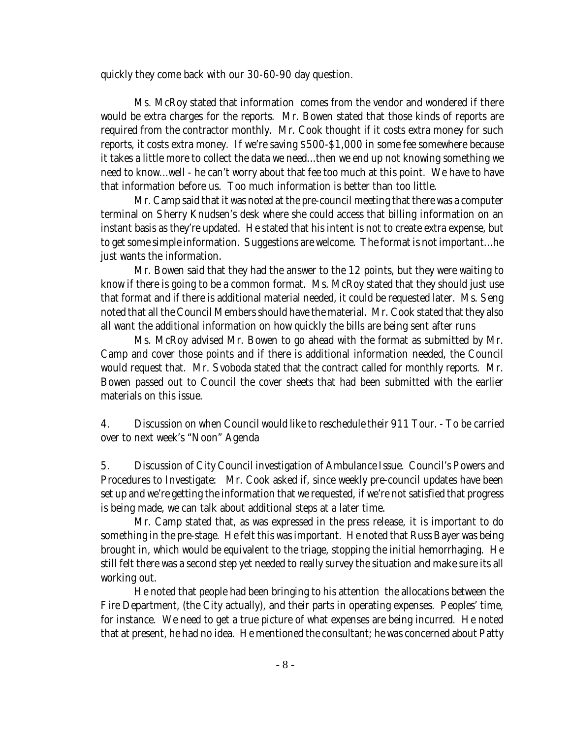quickly they come back with our 30-60-90 day question.

Ms. McRoy stated that information comes from the vendor and wondered if there would be extra charges for the reports. Mr. Bowen stated that those kinds of reports are required from the contractor monthly. Mr. Cook thought if it costs extra money for such reports, it costs extra money. If we're saving \$500-\$1,000 in some fee somewhere because it takes a little more to collect the data we need...then we end up not knowing something we need to know...well - he can't worry about that fee too much at this point. We have to have that information before us. Too much information is better than too little.

Mr. Camp said that it was noted at the pre-council meeting that there was a computer terminal on Sherry Knudsen's desk where she could access that billing information on an instant basis as they're updated. He stated that his intent is not to create extra expense, but to get some simple information. Suggestions are welcome. The format is not important...he just wants the information.

Mr. Bowen said that they had the answer to the 12 points, but they were waiting to know if there is going to be a common format. Ms. McRoy stated that they should just use that format and if there is additional material needed, it could be requested later. Ms. Seng noted that all the Council Members should have the material. Mr. Cook stated that they also all want the additional information on how quickly the bills are being sent after runs

Ms. McRoy advised Mr. Bowen to go ahead with the format as submitted by Mr. Camp and cover those points and if there is additional information needed, the Council would request that. Mr. Svoboda stated that the contract called for monthly reports. Mr. Bowen passed out to Council the cover sheets that had been submitted with the earlier materials on this issue.

4. Discussion on when Council would like to reschedule their 911 Tour. - To be carried over to next week's "Noon" Agenda

5. Discussion of City Council investigation of Ambulance Issue. Council's Powers and Procedures to Investigate: Mr. Cook asked if, since weekly pre-council updates have been set up and we're getting the information that we requested, if we're not satisfied that progress is being made, we can talk about additional steps at a later time.

Mr. Camp stated that, as was expressed in the press release, it is important to do something in the pre-stage. He felt this was important. He noted that Russ Bayer was being brought in, which would be equivalent to the triage, stopping the initial hemorrhaging. He still felt there was a second step yet needed to really survey the situation and make sure its all working out.

He noted that people had been bringing to his attention the allocations between the Fire Department, (the City actually), and their parts in operating expenses. Peoples' time, for instance. We need to get a true picture of what expenses are being incurred. He noted that at present, he had no idea. He mentioned the consultant; he was concerned about Patty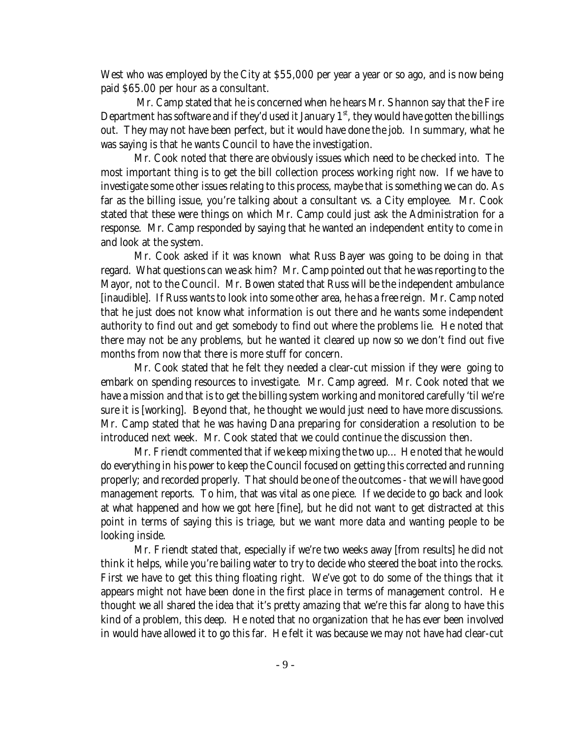West who was employed by the City at \$55,000 per year a year or so ago, and is now being paid \$65.00 per hour as a consultant.

 Mr. Camp stated that he is concerned when he hears Mr. Shannon say that the Fire Department has software and if they'd used it January  $1<sup>st</sup>$ , they would have gotten the billings out. They may not have been perfect, but it would have done the job. In summary, what he was saying is that he wants Council to have the investigation.

Mr. Cook noted that there are obviously issues which need to be checked into. The most important thing is to get the bill collection process working *right now*. If we have to investigate some other issues relating to this process, maybe that is something we can do. As far as the billing issue, you're talking about a consultant vs. a City employee. Mr. Cook stated that these were things on which Mr. Camp could just ask the Administration for a response. Mr. Camp responded by saying that he wanted an independent entity to come in and look at the system.

Mr. Cook asked if it was known what Russ Bayer was going to be doing in that regard. What questions can we ask him? Mr. Camp pointed out that he was reporting to the Mayor, not to the Council. Mr. Bowen stated that Russ will be the independent ambulance [inaudible]. If Russ wants to look into some other area, he has a free reign. Mr. Camp noted that he just does not know what information is out there and he wants some independent authority to find out and get somebody to find out where the problems lie. He noted that there may not be any problems, but he wanted it cleared up now so we don't find out five months from now that there is more stuff for concern.

Mr. Cook stated that he felt they needed a clear-cut mission if they were going to embark on spending resources to investigate. Mr. Camp agreed. Mr. Cook noted that we have a mission and that is to get the billing system working and monitored carefully 'til we're sure it is [working]. Beyond that, he thought we would just need to have more discussions. Mr. Camp stated that he was having Dana preparing for consideration a resolution to be introduced next week. Mr. Cook stated that we could continue the discussion then.

Mr. Friendt commented that if we keep mixing the two up... He noted that he would do everything in his power to keep the Council focused on getting this corrected and running properly; and recorded properly. That should be one of the outcomes - that we will have good management reports. To him, that was vital as one piece. If we decide to go back and look at what happened and how we got here [fine], but he did not want to get distracted at this point in terms of saying this is triage, but we want more data and wanting people to be looking inside.

Mr. Friendt stated that, especially if we're two weeks away [from results] he did not think it helps, while you're bailing water to try to decide who steered the boat into the rocks. First we have to get this thing floating right. We've got to do some of the things that it appears might not have been done in the first place in terms of management control. He thought we all shared the idea that it's pretty amazing that we're this far along to have this kind of a problem, this deep. He noted that no organization that he has ever been involved in would have allowed it to go this far. He felt it was because we may not have had clear-cut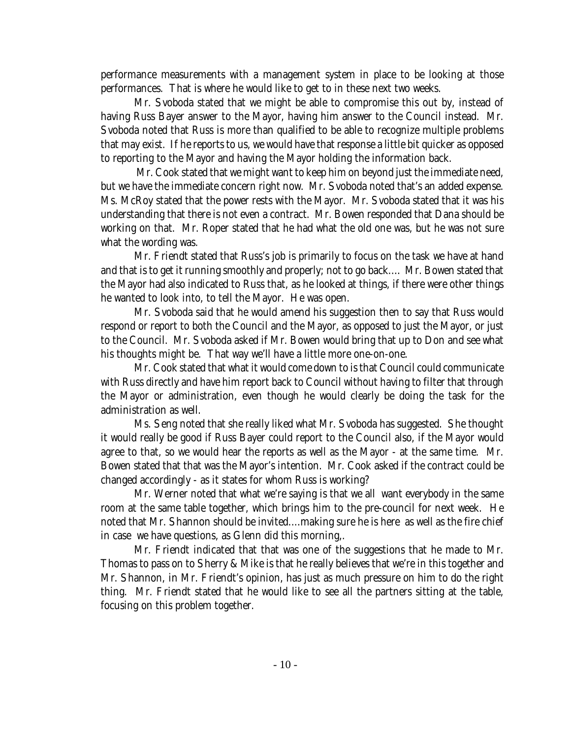performance measurements with a management system in place to be looking at those performances. That is where he would like to get to in these next two weeks.

Mr. Svoboda stated that we might be able to compromise this out by, instead of having Russ Bayer answer to the Mayor, having him answer to the Council instead. Mr. Svoboda noted that Russ is more than qualified to be able to recognize multiple problems that may exist. If he reports to us, we would have that response a little bit quicker as opposed to reporting to the Mayor and having the Mayor holding the information back.

 Mr. Cook stated that we might want to keep him on beyond just the immediate need, but we have the immediate concern right now. Mr. Svoboda noted that's an added expense. Ms. McRoy stated that the power rests with the Mayor. Mr. Svoboda stated that it was his understanding that there is not even a contract. Mr. Bowen responded that Dana should be working on that. Mr. Roper stated that he had what the old one was, but he was not sure what the wording was.

Mr. Friendt stated that Russ's job is primarily to focus on the task we have at hand and that is to get it running smoothly and properly; not to go back.... Mr. Bowen stated that the Mayor had also indicated to Russ that, as he looked at things, if there were other things he wanted to look into, to tell the Mayor. He was open.

Mr. Svoboda said that he would amend his suggestion then to say that Russ would respond or report to both the Council and the Mayor, as opposed to just the Mayor, or just to the Council. Mr. Svoboda asked if Mr. Bowen would bring that up to Don and see what his thoughts might be. That way we'll have a little more one-on-one.

Mr. Cook stated that what it would come down to is that Council could communicate with Russ directly and have him report back to Council without having to filter that through the Mayor or administration, even though he would clearly be doing the task for the administration as well.

Ms. Seng noted that she really liked what Mr. Svoboda has suggested. She thought it would really be good if Russ Bayer could report to the Council also, if the Mayor would agree to that, so we would hear the reports as well as the Mayor - at the same time. Mr. Bowen stated that that was the Mayor's intention. Mr. Cook asked if the contract could be changed accordingly - as it states for whom Russ is working?

Mr. Werner noted that what we're saying is that we all want everybody in the same room at the same table together, which brings him to the pre-council for next week. He noted that Mr. Shannon should be invited....making sure he is here as well as the fire chief in case we have questions, as Glenn did this morning,.

Mr. Friendt indicated that that was one of the suggestions that he made to Mr. Thomas to pass on to Sherry & Mike is that he really believes that we're in this together and Mr. Shannon, in Mr. Friendt's opinion, has just as much pressure on him to do the right thing. Mr. Friendt stated that he would like to see all the partners sitting at the table, focusing on this problem together.